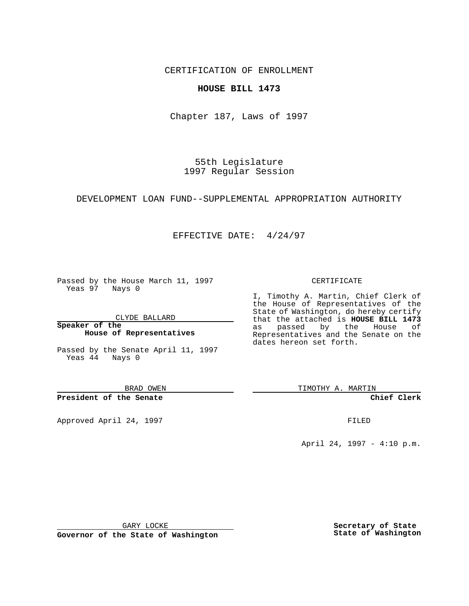CERTIFICATION OF ENROLLMENT

### **HOUSE BILL 1473**

Chapter 187, Laws of 1997

55th Legislature 1997 Regular Session

## DEVELOPMENT LOAN FUND--SUPPLEMENTAL APPROPRIATION AUTHORITY

### EFFECTIVE DATE: 4/24/97

Passed by the House March 11, 1997 Yeas 97 Nays 0

CLYDE BALLARD

**Speaker of the House of Representatives**

Passed by the Senate April 11, 1997 Yeas 44 Nays 0

BRAD OWEN

**President of the Senate**

Approved April 24, 1997 **FILED** 

#### CERTIFICATE

I, Timothy A. Martin, Chief Clerk of the House of Representatives of the State of Washington, do hereby certify that the attached is **HOUSE BILL 1473** as passed by the House of Representatives and the Senate on the dates hereon set forth.

TIMOTHY A. MARTIN

**Chief Clerk**

April 24, 1997 - 4:10 p.m.

GARY LOCKE

**Governor of the State of Washington**

**Secretary of State State of Washington**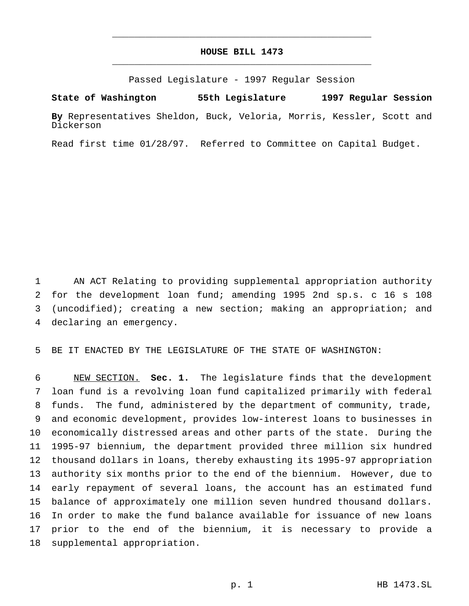# **HOUSE BILL 1473** \_\_\_\_\_\_\_\_\_\_\_\_\_\_\_\_\_\_\_\_\_\_\_\_\_\_\_\_\_\_\_\_\_\_\_\_\_\_\_\_\_\_\_\_\_\_\_

\_\_\_\_\_\_\_\_\_\_\_\_\_\_\_\_\_\_\_\_\_\_\_\_\_\_\_\_\_\_\_\_\_\_\_\_\_\_\_\_\_\_\_\_\_\_\_

Passed Legislature - 1997 Regular Session

**State of Washington 55th Legislature 1997 Regular Session**

**By** Representatives Sheldon, Buck, Veloria, Morris, Kessler, Scott and Dickerson

Read first time 01/28/97. Referred to Committee on Capital Budget.

 AN ACT Relating to providing supplemental appropriation authority for the development loan fund; amending 1995 2nd sp.s. c 16 s 108 (uncodified); creating a new section; making an appropriation; and declaring an emergency.

BE IT ENACTED BY THE LEGISLATURE OF THE STATE OF WASHINGTON:

 NEW SECTION. **Sec. 1.** The legislature finds that the development loan fund is a revolving loan fund capitalized primarily with federal funds. The fund, administered by the department of community, trade, and economic development, provides low-interest loans to businesses in economically distressed areas and other parts of the state. During the 1995-97 biennium, the department provided three million six hundred thousand dollars in loans, thereby exhausting its 1995-97 appropriation authority six months prior to the end of the biennium. However, due to early repayment of several loans, the account has an estimated fund balance of approximately one million seven hundred thousand dollars. In order to make the fund balance available for issuance of new loans prior to the end of the biennium, it is necessary to provide a supplemental appropriation.